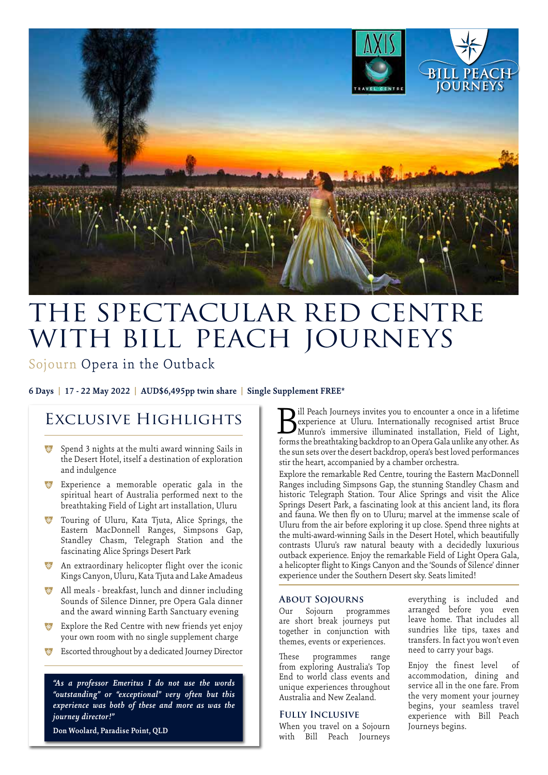

# THE SPECTACULAR RED CENTRE WITH BILL PEACH JOURNEYS

Sojourn Opera in the Outback

**6 Days | 17 - 22 May 2022 | AUD\$6,495pp twin share | Single Supplement FREE\***

## Exclusive Highlights

- **\*** Spend 3 nights at the multi award winning Sails in the Desert Hotel, itself a destination of exploration and indulgence
- \* Experience a memorable operatic gala in the spiritual heart of Australia performed next to the breathtaking Field of Light art installation, Uluru
- Touring of Uluru, Kata Tjuta, Alice Springs, the Eastern MacDonnell Ranges, Simpsons Gap, Standley Chasm, Telegraph Station and the fascinating Alice Springs Desert Park
- **\*** An extraordinary helicopter flight over the iconic Kings Canyon, Uluru, Kata Tjuta and Lake Amadeus
- <sup>\*</sup> All meals breakfast, lunch and dinner including Sounds of Silence Dinner, pre Opera Gala dinner and the award winning Earth Sanctuary evening
- Explore the Red Centre with new friends yet enjoy your own room with no single supplement charge
- Escorted throughout by a dedicated Journey Director

*"As a professor Emeritus I do not use the words "outstanding" or "exceptional" very often but this experience was both of these and more as was the journey director!"*

**Don Woolard, Paradise Point, QLD**

ill Peach Journeys invites you to encounter a once in a lifetime experience at Uluru. Internationally recognised artist Bruce **Mullet Convertse in the Separate in the Convertiser of the Convertiser of the Munro's immersive illuminated installation, Field of Light, forms the breathtpling backdron to an Opera Gala unlike any other As** forms the breathtaking backdrop to an Opera Gala unlike any other. As the sun sets over the desert backdrop, opera's best loved performances stir the heart, accompanied by a chamber orchestra.

Explore the remarkable Red Centre, touring the Eastern MacDonnell Ranges including Simpsons Gap, the stunning Standley Chasm and historic Telegraph Station. Tour Alice Springs and visit the Alice Springs Desert Park, a fascinating look at this ancient land, its flora and fauna. We then fly on to Uluru; marvel at the immense scale of Uluru from the air before exploring it up close. Spend three nights at the multi-award-winning Sails in the Desert Hotel, which beautifully contrasts Uluru's raw natural beauty with a decidedly luxurious outback experience. Enjoy the remarkable Field of Light Opera Gala, a helicopter flight to Kings Canyon and the 'Sounds of Silence' dinner experience under the Southern Desert sky. Seats limited!

#### **About Sojourns**

Our Sojourn programmes are short break journeys put together in conjunction with themes, events or experiences.

These programmes range from exploring Australia's Top End to world class events and unique experiences throughout Australia and New Zealand.

#### **Fully Inclusive**

When you travel on a Sojourn with Bill Peach Journeys

everything is included and arranged before you even leave home. That includes all sundries like tips, taxes and transfers. In fact you won't even need to carry your bags.

Enjoy the finest level of accommodation, dining and service all in the one fare. From the very moment your journey begins, your seamless travel experience with Bill Peach Journeys begins.